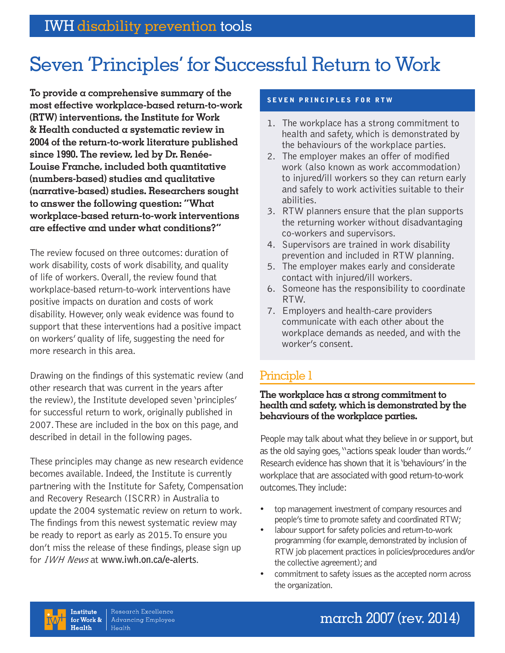# Seven 'Principles' for Successful Return to Work

**To provide a comprehensive summary of the most effective workplace-based return-to-work (RTW) interventions, the Institute for Work & Health conducted a systematic review in 2004 of the return-to-work literature published since 1990. The review, led by Dr. Renée-Louise Franche, included both quantitative (numbers-based) studies and qualitative (narrative-based) studies. Researchers sought to answer the following question: "What workplace-based return-to-work interventions are effective and under what conditions?"** 

The review focused on three outcomes: duration of work disability, costs of work disability, and quality of life of workers. Overall, the review found that workplace-based return-to-work interventions have positive impacts on duration and costs of work disability. However, only weak evidence was found to support that these interventions had a positive impact on workers' quality of life, suggesting the need for more research in this area.

Drawing on the findings of this systematic review (and other research that was current in the years after the review), the Institute developed seven 'principles' for successful return to work, originally published in 2007. These are included in the box on this page, and described in detail in the following pages.

These principles may change as new research evidence becomes available. Indeed, the Institute is currently partnering with the Institute for Safety, Compensation and Recovery Research (ISCRR) in Australia to update the 2004 systematic review on return to work. The findings from this newest systematic review may be ready to report as early as 2015. To ensure you don't miss the release of these findings, please sign up for IWH News at **www.iwh.on.ca/e-alerts**.

#### **SEVEN PRINCIPLES FOR RTW**

- 1. The workplace has a strong commitment to health and safety, which is demonstrated by the behaviours of the workplace parties.
- 2. The employer makes an offer of modified work (also known as work accommodation) to injured/ill workers so they can return early and safely to work activities suitable to their abilities.
- 3. RTW planners ensure that the plan supports the returning worker without disadvantaging co-workers and supervisors.
- 4. Supervisors are trained in work disability prevention and included in RTW planning.
- 5. The employer makes early and considerate contact with injured/ill workers.
- 6. Someone has the responsibility to coordinate RTW.
- 7. Employers and health-care providers communicate with each other about the workplace demands as needed, and with the worker's consent.

## Principle 1

#### **The workplace has a strong commitment to health and safety, which is demonstrated by the behaviours of the workplace parties.**

People may talk about what they believe in or support, but as the old saying goes, "actions speak louder than words." Research evidence has shown that it is 'behaviours' in the workplace that are associated with good return-to-work outcomes. They include:

- top management investment of company resources and people's time to promote safety and coordinated RTW;
- labour support for safety policies and return-to-work programming (for example, demonstrated by inclusion of RTW job placement practices in policies/procedures and/or the collective agreement); and
- commitment to safety issues as the accepted norm across the organization.

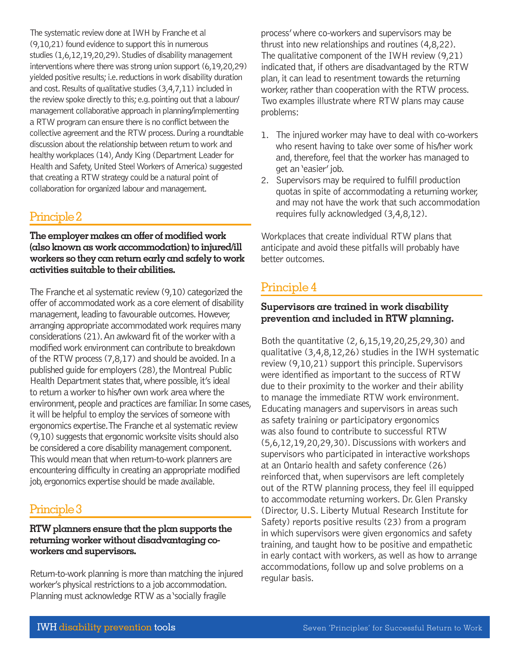The systematic review done at IWH by Franche et al (9,10,21) found evidence to support this in numerous studies (1,6,12,19,20,29). Studies of disability management interventions where there was strong union support (6,19,20,29) yielded positive results; i.e. reductions in work disability duration and cost. Results of qualitative studies (3,4,7,11) included in the review spoke directly to this; e.g. pointing out that a labour/ management collaborative approach in planning/implementing a RTW program can ensure there is no conflict between the collective agreement and the RTW process. During a roundtable discussion about the relationship between return to work and healthy workplaces (14), Andy King (Department Leader for Health and Safety, United Steel Workers of America) suggested that creating a RTW strategy could be a natural point of collaboration for organized labour and management.

## Principle 2

**The employer makes an offer of modified work (also known as work accommodation) to injured/ill workers so they can return early and safely to work activities suitable to their abilities.** 

The Franche et al systematic review (9,10) categorized the offer of accommodated work as a core element of disability management, leading to favourable outcomes. However, arranging appropriate accommodated work requires many considerations (21). An awkward fit of the worker with a modified work environment can contribute to breakdown of the RTW process (7,8,17) and should be avoided. In a published guide for employers (28), the Montreal Public Health Department states that, where possible, it's ideal to return a worker to his/her own work area where the environment, people and practices are familiar. In some cases, it will be helpful to employ the services of someone with ergonomics expertise. The Franche et al systematic review (9,10) suggests that ergonomic worksite visits should also be considered a core disability management component. This would mean that when return-to-work planners are encountering difficulty in creating an appropriate modified job, ergonomics expertise should be made available.

## Principle 3

### **RTW planners ensure that the plan supports the returning worker without disadvantaging coworkers and supervisors.**

Return-to-work planning is more than matching the injured worker's physical restrictions to a job accommodation. Planning must acknowledge RTW as a 'socially fragile

process' where co-workers and supervisors may be thrust into new relationships and routines (4,8,22). The qualitative component of the IWH review (9,21) indicated that, if others are disadvantaged by the RTW plan, it can lead to resentment towards the returning worker, rather than cooperation with the RTW process. Two examples illustrate where RTW plans may cause problems:

- 1. The injured worker may have to deal with co-workers who resent having to take over some of his/her work and, therefore, feel that the worker has managed to get an 'easier' job.
- 2. Supervisors may be required to fulfill production quotas in spite of accommodating a returning worker, and may not have the work that such accommodation requires fully acknowledged (3,4,8,12).

Workplaces that create individual RTW plans that anticipate and avoid these pitfalls will probably have better outcomes.

# Principle 4

## **Supervisors are trained in work disability prevention and included in RTW planning.**

Both the quantitative (2, 6,15,19,20,25,29,30) and qualitative (3,4,8,12,26) studies in the IWH systematic review (9,10,21) support this principle. Supervisors were identified as important to the success of RTW due to their proximity to the worker and their ability to manage the immediate RTW work environment. Educating managers and supervisors in areas such as safety training or participatory ergonomics was also found to contribute to successful RTW (5,6,12,19,20,29,30). Discussions with workers and supervisors who participated in interactive workshops at an Ontario health and safety conference (26) reinforced that, when supervisors are left completely out of the RTW planning process, they feel ill equipped to accommodate returning workers. Dr. Glen Pransky (Director, U.S. Liberty Mutual Research Institute for Safety) reports positive results (23) from a program in which supervisors were given ergonomics and safety training, and taught how to be positive and empathetic in early contact with workers, as well as how to arrange accommodations, follow up and solve problems on a regular basis.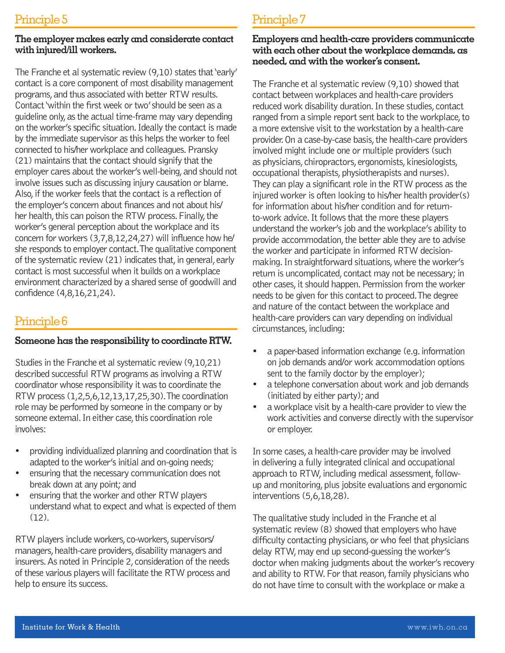#### **The employer makes early and considerate contact with injured/ill workers.**

The Franche et al systematic review (9,10) states that 'early' contact is a core component of most disability management programs, and thus associated with better RTW results. Contact 'within the first week or two' should be seen as a guideline only, as the actual time-frame may vary depending on the worker's specific situation. Ideally the contact is made by the immediate supervisor as this helps the worker to feel connected to his/her workplace and colleagues. Pransky (21) maintains that the contact should signify that the employer cares about the worker's well-being, and should not involve issues such as discussing injury causation or blame. Also, if the worker feels that the contact is a reflection of the employer's concern about finances and not about his/ her health, this can poison the RTW process. Finally, the worker's general perception about the workplace and its concern for workers (3,7,8,12,24,27) will influence how he/ she responds to employer contact. The qualitative component of the systematic review (21) indicates that, in general, early contact is most successful when it builds on a workplace environment characterized by a shared sense of goodwill and confidence (4,8,16,21,24).

## Principle 6

### **Someone has the responsibility to coordinate RTW.**

Studies in the Franche et al systematic review (9,10,21) described successful RTW programs as involving a RTW coordinator whose responsibility it was to coordinate the RTW process (1,2,5,6,12,13,17,25,30). The coordination role may be performed by someone in the company or by someone external. In either case, this coordination role involves:

- providing individualized planning and coordination that is adapted to the worker's initial and on-going needs;
- ensuring that the necessary communication does not break down at any point; and
- ensuring that the worker and other RTW players understand what to expect and what is expected of them (12).

RTW players include workers, co-workers, supervisors/ managers, health-care providers, disability managers and insurers. As noted in Principle 2, consideration of the needs of these various players will facilitate the RTW process and help to ensure its success.

# Principle 7

#### **Employers and health-care providers communicate with each other about the workplace demands, as needed, and with the worker's consent.**

The Franche et al systematic review (9,10) showed that contact between workplaces and health-care providers reduced work disability duration. In these studies, contact ranged from a simple report sent back to the workplace, to a more extensive visit to the workstation by a health-care provider. On a case-by-case basis, the health-care providers involved might include one or multiple providers (such as physicians, chiropractors, ergonomists, kinesiologists, occupational therapists, physiotherapists and nurses). They can play a significant role in the RTW process as the injured worker is often looking to his/her health provider(s) for information about his/her condition and for returnto-work advice. It follows that the more these players understand the worker's job and the workplace's ability to provide accommodation, the better able they are to advise the worker and participate in informed RTW decisionmaking. In straightforward situations, where the worker's return is uncomplicated, contact may not be necessary; in other cases, it should happen. Permission from the worker needs to be given for this contact to proceed. The degree and nature of the contact between the workplace and health-care providers can vary depending on individual circumstances, including:

- a paper-based information exchange (e.g. information on job demands and/or work accommodation options sent to the family doctor by the employer);
- a telephone conversation about work and job demands (initiated by either party); and
- a workplace visit by a health-care provider to view the work activities and converse directly with the supervisor or employer.

In some cases, a health-care provider may be involved in delivering a fully integrated clinical and occupational approach to RTW, including medical assessment, followup and monitoring, plus jobsite evaluations and ergonomic interventions (5,6,18,28).

The qualitative study included in the Franche et al systematic review (8) showed that employers who have difficulty contacting physicians, or who feel that physicians delay RTW, may end up second-guessing the worker's doctor when making judgments about the worker's recovery and ability to RTW. For that reason, family physicians who do not have time to consult with the workplace or make a